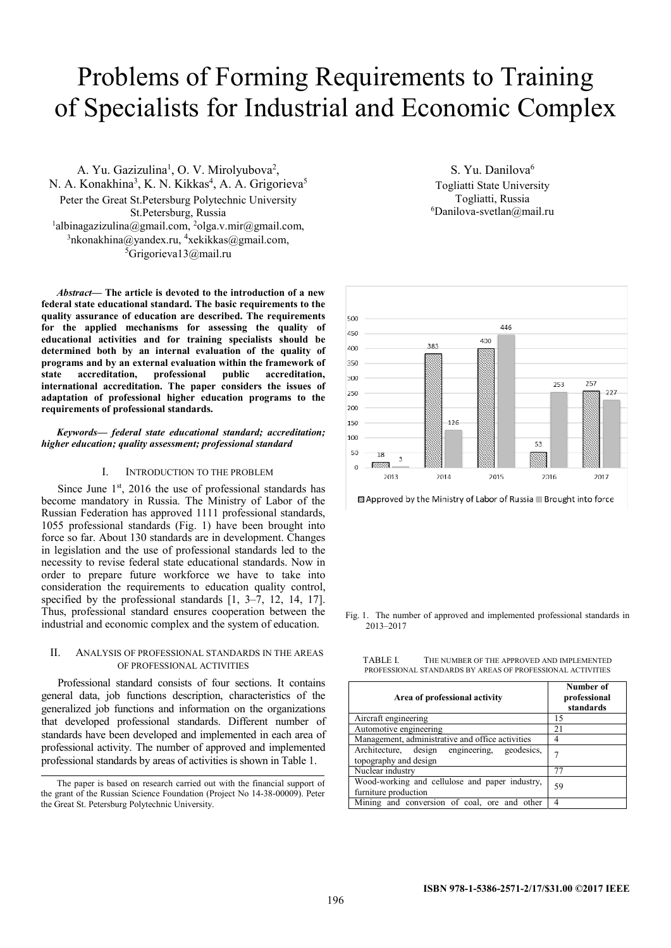# Problems of Forming Requirements to Training of Specialists for Industrial and Economic Complex

A. Yu. Gazizulina<sup>1</sup>, O. V. Mirolyubova<sup>2</sup>, N. A. Konakhina<sup>3</sup>, K. N. Kikkas<sup>4</sup>, A. A. Grigorieva<sup>5</sup> Peter the Great St.Petersburg Polytechnic University St.Petersburg, Russia<br>
<sup>1</sup>albinagazizulina@gmail.com, <sup>2</sup>olga.v.mir@gmail.com,<br>
<sup>3</sup>pkonakhina@yandex.ru <sup>4</sup>xekikkas@gmail.com nkonakhina@yandex.ru, <sup>4</sup>xekikkas@gmail.com, <sup>5</sup>Grigorieva13@mail.ru

*Abstract***— The article is devoted to the introduction of a new federal state educational standard. The basic requirements to the quality assurance of education are described. The requirements for the applied mechanisms for assessing the quality of educational activities and for training specialists should be determined both by an internal evaluation of the quality of programs and by an external evaluation within the framework of state accreditation, professional public accreditation, international accreditation. The paper considers the issues of adaptation of professional higher education programs to the requirements of professional standards.** 

*Keywords— federal state educational standard; accreditation; higher education; quality assessment; professional standard* 

#### I. INTRODUCTION TO THE PROBLEM

Since June 1<sup>st</sup>, 2016 the use of professional standards has become mandatory in Russia. The Ministry of Labor of the Russian Federation has approved 1111 professional standards, 1055 professional standards (Fig. 1) have been brought into force so far. About 130 standards are in development. Changes in legislation and the use of professional standards led to the necessity to revise federal state educational standards. Now in order to prepare future workforce we have to take into consideration the requirements to education quality control, specified by the professional standards  $[1, 3-7, 12, 14, 17]$ . Thus, professional standard ensures cooperation between the industrial and economic complex and the system of education.

## II. ANALYSIS OF PROFESSIONAL STANDARDS IN THE AREAS OF PROFESSIONAL ACTIVITIES

Professional standard consists of four sections. It contains general data, job functions description, characteristics of the generalized job functions and information on the organizations that developed professional standards. Different number of standards have been developed and implemented in each area of professional activity. The number of approved and implemented professional standards by areas of activities is shown in Table 1.

S. Yu. Danilova<sup>6</sup> Togliatti State University Togliatti, Russia 6  ${}^6$ Danilova-svetlan $@$ mail.ru



<sup>83</sup> Approved by the Ministry of Labor of Russia ■ Brought into force

Fig. 1. The number of approved and implemented professional standards in 2013–2017

TABLE I. THE NUMBER OF THE APPROVED AND IMPLEMENTED PROFESSIONAL STANDARDS BY AREAS OF PROFESSIONAL ACTIVITIES

| Area of professional activity                                          | Number of<br>professional<br>standards |  |  |
|------------------------------------------------------------------------|----------------------------------------|--|--|
| Aircraft engineering                                                   | 15                                     |  |  |
| Automotive engineering                                                 | 21                                     |  |  |
| Management, administrative and office activities                       |                                        |  |  |
| Architecture, design engineering, geodesics,<br>topography and design  | 7                                      |  |  |
| Nuclear industry                                                       | 77                                     |  |  |
| Wood-working and cellulose and paper industry,<br>furniture production | 59                                     |  |  |
| Mining and conversion of coal, ore and other                           | 4                                      |  |  |

The paper is based on research carried out with the financial support of the grant of the Russian Science Foundation (Project No 14-38-00009). Peter the Great St. Petersburg Polytechnic University.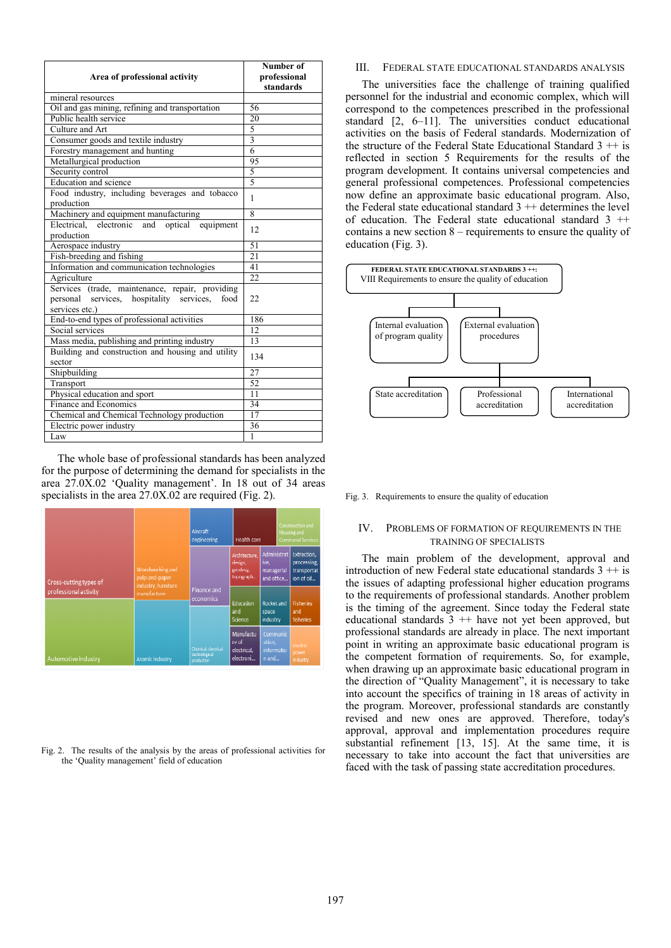|                                                    | Number of       |  |  |
|----------------------------------------------------|-----------------|--|--|
| Area of professional activity                      | professional    |  |  |
|                                                    | standards       |  |  |
| mineral resources                                  |                 |  |  |
| Oil and gas mining, refining and transportation    | 56              |  |  |
| Public health service                              | 20              |  |  |
| Culture and Art                                    | 5               |  |  |
| Consumer goods and textile industry                | $\overline{3}$  |  |  |
| Forestry management and hunting                    | 6               |  |  |
| Metallurgical production                           | 95              |  |  |
| Security control                                   | 5               |  |  |
| Education and science                              | $\overline{5}$  |  |  |
| Food industry, including beverages and tobacco     | 1               |  |  |
| production                                         |                 |  |  |
| Machinery and equipment manufacturing              | 8               |  |  |
| electronic<br>Electrical,<br>and optical equipment | 12.             |  |  |
| production                                         |                 |  |  |
| Aerospace industry                                 | 51              |  |  |
| Fish-breeding and fishing                          | $\overline{21}$ |  |  |
| Information and communication technologies         | 41              |  |  |
| Agriculture                                        | 22              |  |  |
| Services (trade, maintenance, repair, providing    |                 |  |  |
| personal services, hospitality services,<br>food   | 22              |  |  |
| services etc.)                                     |                 |  |  |
| End-to-end types of professional activities        | 186             |  |  |
| Social services                                    | 12              |  |  |
| Mass media, publishing and printing industry       | 13              |  |  |
| Building and construction and housing and utility  | 134             |  |  |
| sector                                             |                 |  |  |
| Shipbuilding                                       | 27              |  |  |
| Transport                                          | 52              |  |  |
| Physical education and sport                       | 11              |  |  |
| Finance and Economics                              | 34              |  |  |
| Chemical and Chemical Technology production        | 17              |  |  |
| Electric power industry                            | 36              |  |  |
| Law                                                | $\mathbf{1}$    |  |  |

The whole base of professional standards has been analyzed for the purpose of determining the demand for specialists in the area 27.0Х.02 'Quality management'. In 18 out of 34 areas specialists in the area 27.0X.02 are required (Fig. 2).

|                                                 |                                                          | Aircraft<br>cngineering                            | Health care                                       |                                                 | Construction and<br>Housing and<br><b>Communal Services</b> |                                                         |  |
|-------------------------------------------------|----------------------------------------------------------|----------------------------------------------------|---------------------------------------------------|-------------------------------------------------|-------------------------------------------------------------|---------------------------------------------------------|--|
| Cross-cutting types of<br>professional activity | Woodworking and<br>pulp-and-paper<br>industry, furniture |                                                    | Architecture,<br>design,<br>gendesy,<br>Topograph | Administrat<br>ive,<br>managerial<br>and office |                                                             | Extraction.<br>processing,<br>transportat<br>ion of oil |  |
|                                                 | manufacture                                              | Finance and<br>economics                           | <b>Education</b><br>and                           | Rocket and<br>space<br>industry                 |                                                             | Fisheries<br>and<br>tisheries                           |  |
|                                                 |                                                          |                                                    | Science                                           |                                                 |                                                             |                                                         |  |
| Automotive industry                             | Atomic industry                                          | Chemical, chemical-<br>technological<br>production | Manufactu<br>re of<br>clectrical.<br>electroni    | Communic<br>ation,<br>informatio<br>$n$ and     |                                                             | <b>Flectric</b><br>power<br>industry                    |  |

Fig. 2. The results of the analysis by the areas of professional activities for the 'Quality management' field of education

# III. FEDERAL STATE EDUCATIONAL STANDARDS ANALYSIS

The universities face the challenge of training qualified personnel for the industrial and economic complex, which will correspond to the competences prescribed in the professional standard [2, 6–11]. The universities conduct educational activities on the basis of Federal standards. Modernization of the structure of the Federal State Educational Standard  $3 + i$  is reflected in section 5 Requirements for the results of the program development. It contains universal competencies and general professional competences. Professional competencies now define an approximate basic educational program. Also, the Federal state educational standard  $3 +$ + determines the level of education. The Federal state educational standard 3 ++ contains a new section 8 – requirements to ensure the quality of education (Fig. 3).



Fig. 3. Requirements to ensure the quality of education

## IV. PROBLEMS OF FORMATION OF REQUIREMENTS IN THE TRAINING OF SPECIALISTS

The main problem of the development, approval and introduction of new Federal state educational standards  $3 + i$  is the issues of adapting professional higher education programs to the requirements of professional standards. Another problem is the timing of the agreement. Since today the Federal state educational standards  $3$  ++ have not yet been approved, but professional standards are already in place. The next important point in writing an approximate basic educational program is the competent formation of requirements. So, for example, when drawing up an approximate basic educational program in the direction of "Quality Management", it is necessary to take into account the specifics of training in 18 areas of activity in the program. Moreover, professional standards are constantly revised and new ones are approved. Therefore, today's approval, approval and implementation procedures require substantial refinement [13, 15]. At the same time, it is necessary to take into account the fact that universities are faced with the task of passing state accreditation procedures.